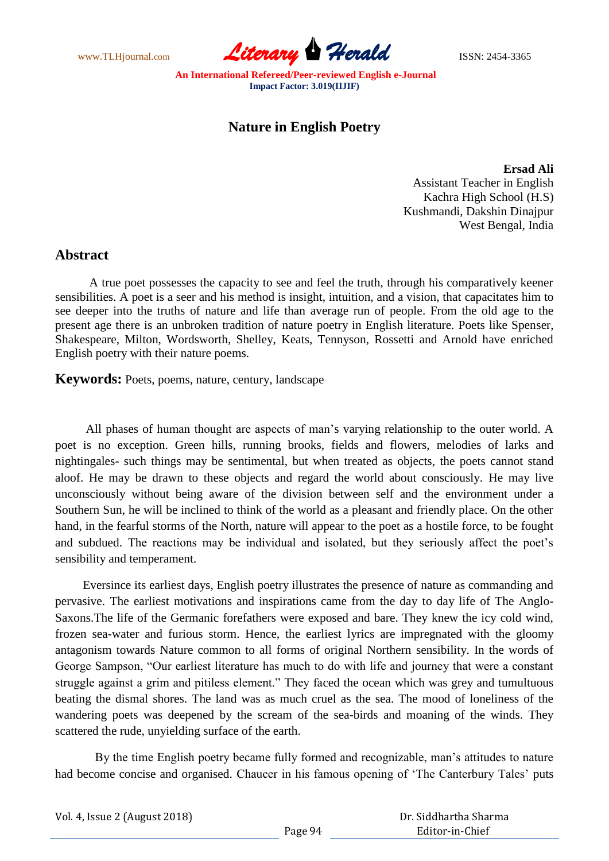www.TLHjournal.com **Literary Herald Herald** ISSN: 2454-3365

## **Nature in English Poetry**

**Ersad Ali** Assistant Teacher in English Kachra High School (H.S) Kushmandi, Dakshin Dinajpur West Bengal, India

## **Abstract**

 A true poet possesses the capacity to see and feel the truth, through his comparatively keener sensibilities. A poet is a seer and his method is insight, intuition, and a vision, that capacitates him to see deeper into the truths of nature and life than average run of people. From the old age to the present age there is an unbroken tradition of nature poetry in English literature. Poets like Spenser, Shakespeare, Milton, Wordsworth, Shelley, Keats, Tennyson, Rossetti and Arnold have enriched English poetry with their nature poems.

**Keywords:** Poets, poems, nature, century, landscape

 All phases of human thought are aspects of man"s varying relationship to the outer world. A poet is no exception. Green hills, running brooks, fields and flowers, melodies of larks and nightingales- such things may be sentimental, but when treated as objects, the poets cannot stand aloof. He may be drawn to these objects and regard the world about consciously. He may live unconsciously without being aware of the division between self and the environment under a Southern Sun, he will be inclined to think of the world as a pleasant and friendly place. On the other hand, in the fearful storms of the North, nature will appear to the poet as a hostile force, to be fought and subdued. The reactions may be individual and isolated, but they seriously affect the poet's sensibility and temperament.

 Eversince its earliest days, English poetry illustrates the presence of nature as commanding and pervasive. The earliest motivations and inspirations came from the day to day life of The Anglo-Saxons.The life of the Germanic forefathers were exposed and bare. They knew the icy cold wind, frozen sea-water and furious storm. Hence, the earliest lyrics are impregnated with the gloomy antagonism towards Nature common to all forms of original Northern sensibility. In the words of George Sampson, "Our earliest literature has much to do with life and journey that were a constant struggle against a grim and pitiless element." They faced the ocean which was grey and tumultuous beating the dismal shores. The land was as much cruel as the sea. The mood of loneliness of the wandering poets was deepened by the scream of the sea-birds and moaning of the winds. They scattered the rude, unyielding surface of the earth.

By the time English poetry became fully formed and recognizable, man's attitudes to nature had become concise and organised. Chaucer in his famous opening of 'The Canterbury Tales' puts

| Vol. 4, Issue 2 (August 2018) |  |
|-------------------------------|--|
|-------------------------------|--|

 Dr. Siddhartha Sharma Editor-in-Chief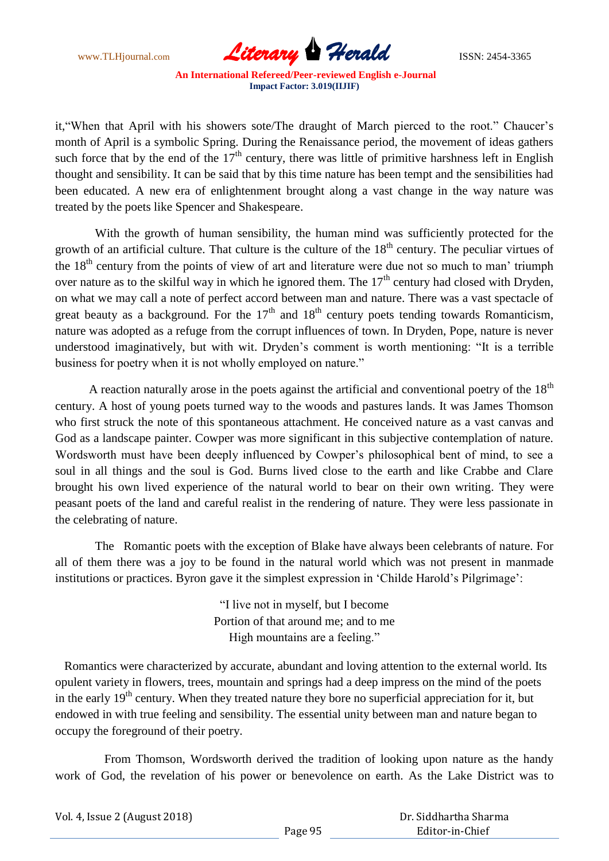www.TLHjournal.com *Literary Herald*ISSN: 2454-3365

it, "When that April with his showers sote/The draught of March pierced to the root." Chaucer's month of April is a symbolic Spring. During the Renaissance period, the movement of ideas gathers such force that by the end of the  $17<sup>th</sup>$  century, there was little of primitive harshness left in English thought and sensibility. It can be said that by this time nature has been tempt and the sensibilities had been educated. A new era of enlightenment brought along a vast change in the way nature was treated by the poets like Spencer and Shakespeare.

 With the growth of human sensibility, the human mind was sufficiently protected for the growth of an artificial culture. That culture is the culture of the  $18<sup>th</sup>$  century. The peculiar virtues of the  $18<sup>th</sup>$  century from the points of view of art and literature were due not so much to man' triumph over nature as to the skilful way in which he ignored them. The  $17<sup>th</sup>$  century had closed with Dryden, on what we may call a note of perfect accord between man and nature. There was a vast spectacle of great beauty as a background. For the  $17<sup>th</sup>$  and  $18<sup>th</sup>$  century poets tending towards Romanticism, nature was adopted as a refuge from the corrupt influences of town. In Dryden, Pope, nature is never understood imaginatively, but with wit. Dryden"s comment is worth mentioning: "It is a terrible business for poetry when it is not wholly employed on nature."

A reaction naturally arose in the poets against the artificial and conventional poetry of the  $18<sup>th</sup>$ century. A host of young poets turned way to the woods and pastures lands. It was James Thomson who first struck the note of this spontaneous attachment. He conceived nature as a vast canvas and God as a landscape painter. Cowper was more significant in this subjective contemplation of nature. Wordsworth must have been deeply influenced by Cowper's philosophical bent of mind, to see a soul in all things and the soul is God. Burns lived close to the earth and like Crabbe and Clare brought his own lived experience of the natural world to bear on their own writing. They were peasant poets of the land and careful realist in the rendering of nature. They were less passionate in the celebrating of nature.

 The Romantic poets with the exception of Blake have always been celebrants of nature. For all of them there was a joy to be found in the natural world which was not present in manmade institutions or practices. Byron gave it the simplest expression in "Childe Harold"s Pilgrimage":

> "I live not in myself, but I become Portion of that around me; and to me High mountains are a feeling."

 Romantics were characterized by accurate, abundant and loving attention to the external world. Its opulent variety in flowers, trees, mountain and springs had a deep impress on the mind of the poets in the early  $19<sup>th</sup>$  century. When they treated nature they bore no superficial appreciation for it, but endowed in with true feeling and sensibility. The essential unity between man and nature began to occupy the foreground of their poetry.

 From Thomson, Wordsworth derived the tradition of looking upon nature as the handy work of God, the revelation of his power or benevolence on earth. As the Lake District was to

| Vol. 4, Issue 2 (August 2018) |  |
|-------------------------------|--|
|                               |  |

 Dr. Siddhartha Sharma Editor-in-Chief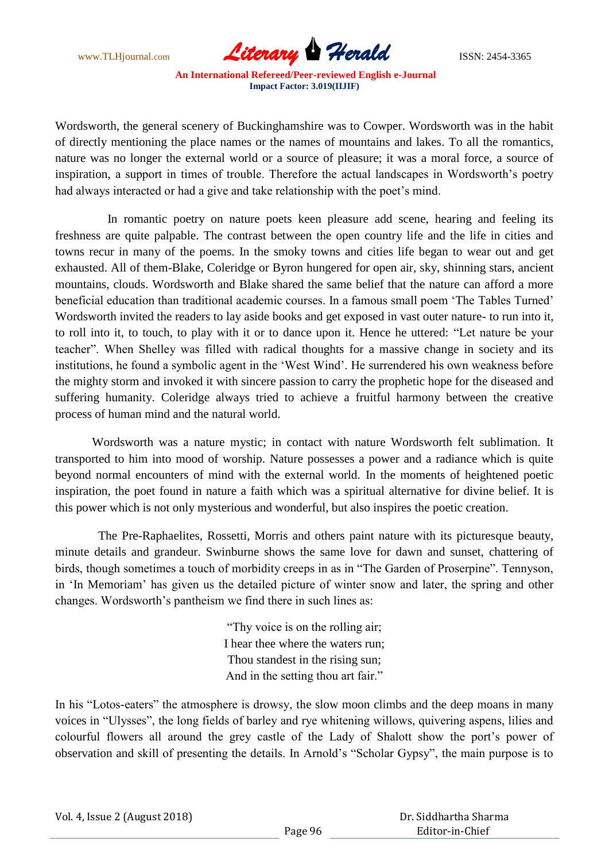www.TLHjournal.com **Literary Herald Herald** ISSN: 2454-3365

Wordsworth, the general scenery of Buckinghamshire was to Cowper. Wordsworth was in the habit of directly mentioning the place names or the names of mountains and lakes. To all the romantics, nature was no longer the external world or a source of pleasure; it was a moral force, a source of inspiration, a support in times of trouble. Therefore the actual landscapes in Wordsworth"s poetry had always interacted or had a give and take relationship with the poet's mind.

 In romantic poetry on nature poets keen pleasure add scene, hearing and feeling its freshness are quite palpable. The contrast between the open country life and the life in cities and towns recur in many of the poems. In the smoky towns and cities life began to wear out and get exhausted. All of them-Blake, Coleridge or Byron hungered for open air, sky, shinning stars, ancient mountains, clouds. Wordsworth and Blake shared the same belief that the nature can afford a more beneficial education than traditional academic courses. In a famous small poem "The Tables Turned" Wordsworth invited the readers to lay aside books and get exposed in vast outer nature- to run into it, to roll into it, to touch, to play with it or to dance upon it. Hence he uttered: "Let nature be your teacher". When Shelley was filled with radical thoughts for a massive change in society and its institutions, he found a symbolic agent in the "West Wind". He surrendered his own weakness before the mighty storm and invoked it with sincere passion to carry the prophetic hope for the diseased and suffering humanity. Coleridge always tried to achieve a fruitful harmony between the creative process of human mind and the natural world.

 Wordsworth was a nature mystic; in contact with nature Wordsworth felt sublimation. It transported to him into mood of worship. Nature possesses a power and a radiance which is quite beyond normal encounters of mind with the external world. In the moments of heightened poetic inspiration, the poet found in nature a faith which was a spiritual alternative for divine belief. It is this power which is not only mysterious and wonderful, but also inspires the poetic creation.

 The Pre-Raphaelites, Rossetti, Morris and others paint nature with its picturesque beauty, minute details and grandeur. Swinburne shows the same love for dawn and sunset, chattering of birds, though sometimes a touch of morbidity creeps in as in "The Garden of Proserpine". Tennyson, in "In Memoriam" has given us the detailed picture of winter snow and later, the spring and other changes. Wordsworth"s pantheism we find there in such lines as:

> "Thy voice is on the rolling air; I hear thee where the waters run; Thou standest in the rising sun; And in the setting thou art fair."

In his "Lotos-eaters" the atmosphere is drowsy, the slow moon climbs and the deep moans in many voices in "Ulysses", the long fields of barley and rye whitening willows, quivering aspens, lilies and colourful flowers all around the grey castle of the Lady of Shalott show the port"s power of observation and skill of presenting the details. In Arnold"s "Scholar Gypsy", the main purpose is to